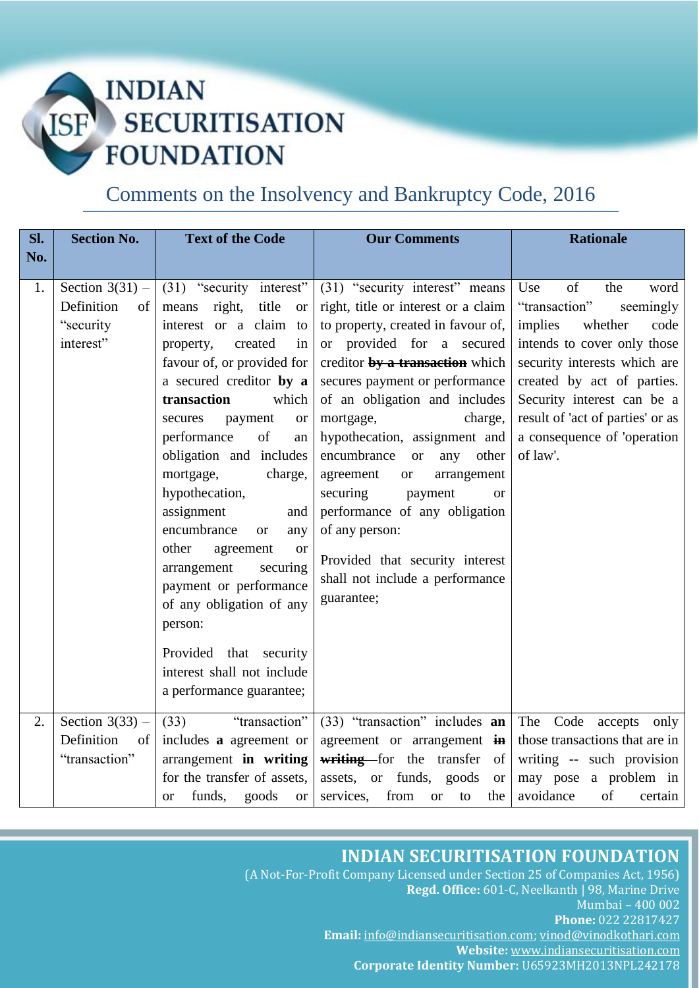### **INDIAN SECURITISATION ISF FOUNDATION**

### Comments on the Insolvency and Bankruptcy Code, 2016

| SI.<br>No. | <b>Section No.</b>                                               | <b>Text of the Code</b>                                                                                                                                                                                                                                                                                                                                                                                                                                                                                                                                                                                                        | <b>Our Comments</b>                                                                                                                                                                                                                                                                                                                                                                                                                                                                                                                                                      | <b>Rationale</b>                                                                                                                                                                                                                                                                               |
|------------|------------------------------------------------------------------|--------------------------------------------------------------------------------------------------------------------------------------------------------------------------------------------------------------------------------------------------------------------------------------------------------------------------------------------------------------------------------------------------------------------------------------------------------------------------------------------------------------------------------------------------------------------------------------------------------------------------------|--------------------------------------------------------------------------------------------------------------------------------------------------------------------------------------------------------------------------------------------------------------------------------------------------------------------------------------------------------------------------------------------------------------------------------------------------------------------------------------------------------------------------------------------------------------------------|------------------------------------------------------------------------------------------------------------------------------------------------------------------------------------------------------------------------------------------------------------------------------------------------|
| 1.         | Section $3(31)$ –<br>Definition<br>of<br>"security"<br>interest" | $(31)$ "security interest"<br>title<br>right,<br>means<br><b>or</b><br>interest or a claim to<br>created<br>property,<br>in<br>favour of, or provided for<br>a secured creditor by a<br>transaction<br>which<br>payment<br>secures<br><b>or</b><br>performance<br>of<br>an<br>obligation and includes<br>mortgage,<br>charge,<br>hypothecation,<br>assignment<br>and<br>encumbrance<br>any<br><b>or</b><br>other<br>agreement<br><sub>or</sub><br>arrangement<br>securing<br>payment or performance<br>of any obligation of any<br>person:<br>Provided that security<br>interest shall not include<br>a performance guarantee; | (31) "security interest" means<br>right, title or interest or a claim<br>to property, created in favour of,<br>or provided for a secured<br>creditor by a transaction which<br>secures payment or performance<br>of an obligation and includes<br>mortgage,<br>charge,<br>hypothecation, assignment and<br>encumbrance<br>any other<br><sub>or</sub><br>agreement<br>arrangement<br><b>or</b><br>securing<br>payment<br><b>or</b><br>performance of any obligation<br>of any person:<br>Provided that security interest<br>shall not include a performance<br>guarantee; | Use<br>of<br>the<br>word<br>"transaction"<br>seemingly<br>implies<br>whether<br>code<br>intends to cover only those<br>security interests which are<br>created by act of parties.<br>Security interest can be a<br>result of 'act of parties' or as<br>a consequence of 'operation<br>of law'. |
| 2.         | Section $3(33)$ –<br>Definition<br>of<br>"transaction"           | "transaction"<br>(33)<br>includes a agreement or<br>arrangement in writing<br>for the transfer of assets,<br>funds,<br>goods<br><b>or</b><br><b>or</b>                                                                                                                                                                                                                                                                                                                                                                                                                                                                         | (33) "transaction" includes an<br>agreement or arrangement in<br>writing for the transfer<br><sub>of</sub><br>assets, or funds,<br>goods<br><b>or</b><br>from<br>services,<br>the<br><b>or</b><br>to                                                                                                                                                                                                                                                                                                                                                                     | The Code accepts only<br>those transactions that are in<br>writing -- such provision<br>may pose a problem in<br>avoidance<br>of<br>certain                                                                                                                                                    |

### **INDIAN SECURITISATION FOUNDATION**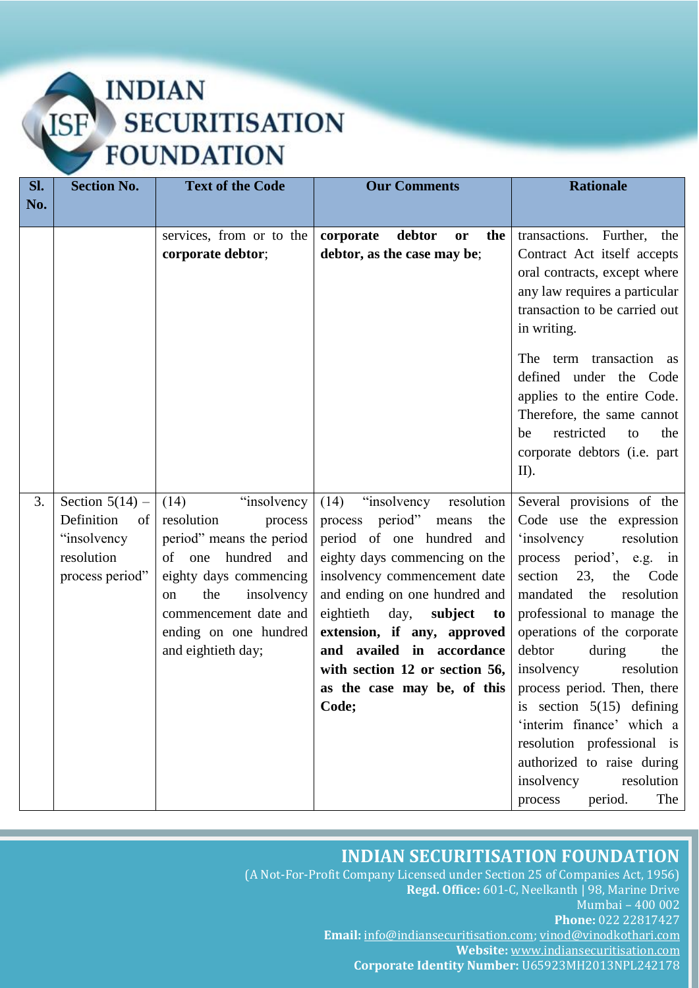## INDIAN<br>SECURITISATION **ISF FOUNDATION**

| SI. | <b>Section No.</b>                                                                    | <b>Text of the Code</b>                                                                                                                                                                                                                    | <b>Our Comments</b>                                                                                                                                                                                                                                                                                                                                                         | <b>Rationale</b>                                                                                                                                                                                                                                                                                                                                                                                                                                                                                                        |
|-----|---------------------------------------------------------------------------------------|--------------------------------------------------------------------------------------------------------------------------------------------------------------------------------------------------------------------------------------------|-----------------------------------------------------------------------------------------------------------------------------------------------------------------------------------------------------------------------------------------------------------------------------------------------------------------------------------------------------------------------------|-------------------------------------------------------------------------------------------------------------------------------------------------------------------------------------------------------------------------------------------------------------------------------------------------------------------------------------------------------------------------------------------------------------------------------------------------------------------------------------------------------------------------|
| No. |                                                                                       |                                                                                                                                                                                                                                            |                                                                                                                                                                                                                                                                                                                                                                             |                                                                                                                                                                                                                                                                                                                                                                                                                                                                                                                         |
|     |                                                                                       | services, from or to the<br>corporate debtor;                                                                                                                                                                                              | corporate<br>debtor<br>the<br>or<br>debtor, as the case may be;                                                                                                                                                                                                                                                                                                             | transactions. Further, the<br>Contract Act itself accepts<br>oral contracts, except where<br>any law requires a particular<br>transaction to be carried out<br>in writing.<br>The term transaction as<br>defined under the Code<br>applies to the entire Code.<br>Therefore, the same cannot<br>restricted<br>be<br>the<br>to<br>corporate debtors (i.e. part<br>$II$ ).                                                                                                                                                |
| 3.  | Section $5(14)$ –<br>Definition<br>of<br>"insolvency<br>resolution<br>process period" | "insolvency"<br>(14)<br>resolution<br>process<br>period" means the period<br>of one<br>hundred and<br>eighty days commencing<br>the<br>insolvency<br><sub>on</sub><br>commencement date and<br>ending on one hundred<br>and eightieth day; | $(14)$ "insolvency resolution<br>process period" means<br>the<br>period of one hundred<br>and<br>eighty days commencing on the<br>insolvency commencement date<br>and ending on one hundred and<br>eightieth<br>day,<br>subject<br>to<br>extension, if any, approved<br>and availed in accordance<br>with section 12 or section 56,<br>as the case may be, of this<br>Code; | Several provisions of the<br>Code use the expression<br><i>'insolvency</i><br>resolution<br>process period', e.g. in<br>23,<br>section<br>the<br>Code<br>mandated the<br>resolution<br>professional to manage the<br>operations of the corporate<br>debtor<br>during<br>the<br>insolvency<br>resolution<br>process period. Then, there<br>is section $5(15)$ defining<br>'interim finance' which a<br>resolution professional is<br>authorized to raise during<br>insolvency<br>resolution<br>period.<br>The<br>process |

### **INDIAN SECURITISATION FOUNDATION**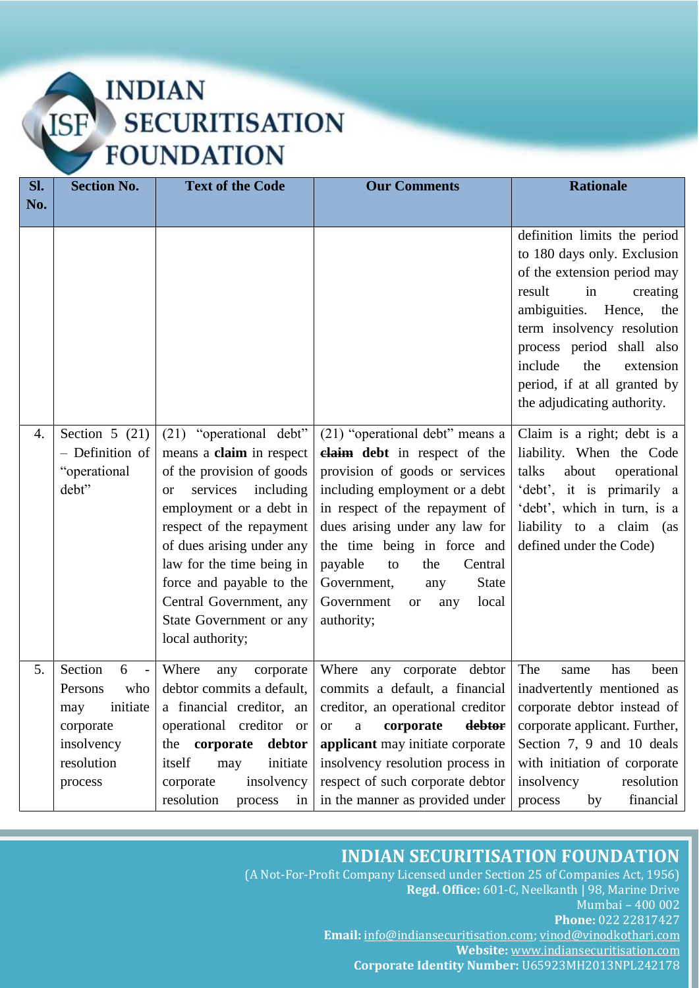## INDIAN<br>SECURITISATION **ISF FOUNDATION**

| SI. | <b>Section No.</b>                                                                                                                | <b>Text of the Code</b>                                                                                                                                                                                                                                                                                                                       | <b>Our Comments</b>                                                                                                                                                                                                                                                                                                                                                      | <b>Rationale</b>                                                                                                                                                                                                                                                                                                 |
|-----|-----------------------------------------------------------------------------------------------------------------------------------|-----------------------------------------------------------------------------------------------------------------------------------------------------------------------------------------------------------------------------------------------------------------------------------------------------------------------------------------------|--------------------------------------------------------------------------------------------------------------------------------------------------------------------------------------------------------------------------------------------------------------------------------------------------------------------------------------------------------------------------|------------------------------------------------------------------------------------------------------------------------------------------------------------------------------------------------------------------------------------------------------------------------------------------------------------------|
| No. |                                                                                                                                   |                                                                                                                                                                                                                                                                                                                                               |                                                                                                                                                                                                                                                                                                                                                                          |                                                                                                                                                                                                                                                                                                                  |
|     |                                                                                                                                   |                                                                                                                                                                                                                                                                                                                                               |                                                                                                                                                                                                                                                                                                                                                                          | definition limits the period<br>to 180 days only. Exclusion<br>of the extension period may<br>result<br>in<br>creating<br>ambiguities.<br>Hence,<br>the<br>term insolvency resolution<br>process period shall also<br>include<br>the<br>extension<br>period, if at all granted by<br>the adjudicating authority. |
| 4.  | Section 5 $(21)$<br>- Definition of<br>"operational<br>debt"                                                                      | (21) "operational debt"<br>means a claim in respect<br>of the provision of goods<br>services<br>including<br><b>or</b><br>employment or a debt in<br>respect of the repayment<br>of dues arising under any<br>law for the time being in<br>force and payable to the<br>Central Government, any<br>State Government or any<br>local authority; | (21) "operational debt" means a<br>claim debt in respect of the<br>provision of goods or services<br>including employment or a debt<br>in respect of the repayment of<br>dues arising under any law for<br>the time being in force and<br>payable<br>to<br>the<br>Central<br>Government,<br><b>State</b><br>any<br>Government<br>local<br>any<br><b>or</b><br>authority; | Claim is a right; debt is a<br>liability. When the Code<br>talks<br>about<br>operational<br>'debt', it is primarily a<br>'debt', which in turn, is a<br>liability to a claim (as<br>defined under the Code)                                                                                                      |
| 5.  | Section<br>6<br>$\overline{\phantom{a}}$<br>who<br>Persons<br>initiate<br>may<br>corporate<br>insolvency<br>resolution<br>process | Where<br>corporate<br>any<br>debtor commits a default,<br>a financial creditor, an<br>operational creditor<br><sub>or</sub><br>the corporate<br>debtor<br>itself<br>initiate<br>may<br>insolvency<br>corporate<br>resolution<br>process<br>in                                                                                                 | Where any corporate debtor<br>commits a default, a financial<br>creditor, an operational creditor<br>corporate<br>debtor<br><b>or</b><br>a<br>applicant may initiate corporate<br>insolvency resolution process in<br>respect of such corporate debtor<br>in the manner as provided under                                                                                | The<br>has<br>been<br>same<br>inadvertently mentioned as<br>corporate debtor instead of<br>corporate applicant. Further,<br>Section 7, 9 and 10 deals<br>with initiation of corporate<br>insolvency<br>resolution<br>financial<br>process<br>by                                                                  |

### **INDIAN SECURITISATION FOUNDATION**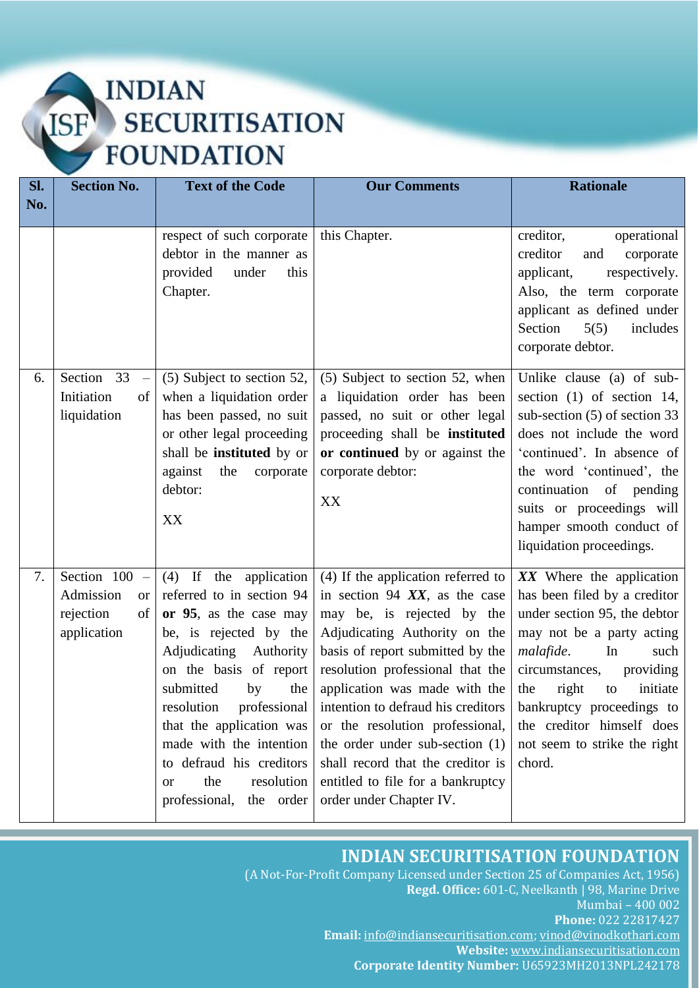| Sl. | <b>Section No.</b>                                                              | <b>Text of the Code</b>                                                                                                                                                                                                                                                                                                                                                     | <b>Our Comments</b>                                                                                                                                                                                                                                                                                                                                                                                                                                             | <b>Rationale</b>                                                                                                                                                                                                                                                                                                      |
|-----|---------------------------------------------------------------------------------|-----------------------------------------------------------------------------------------------------------------------------------------------------------------------------------------------------------------------------------------------------------------------------------------------------------------------------------------------------------------------------|-----------------------------------------------------------------------------------------------------------------------------------------------------------------------------------------------------------------------------------------------------------------------------------------------------------------------------------------------------------------------------------------------------------------------------------------------------------------|-----------------------------------------------------------------------------------------------------------------------------------------------------------------------------------------------------------------------------------------------------------------------------------------------------------------------|
| No. |                                                                                 |                                                                                                                                                                                                                                                                                                                                                                             |                                                                                                                                                                                                                                                                                                                                                                                                                                                                 |                                                                                                                                                                                                                                                                                                                       |
|     |                                                                                 | respect of such corporate<br>debtor in the manner as<br>provided<br>under<br>this<br>Chapter.                                                                                                                                                                                                                                                                               | this Chapter.                                                                                                                                                                                                                                                                                                                                                                                                                                                   | creditor,<br>operational<br>creditor<br>corporate<br>and<br>applicant,<br>respectively.<br>Also, the term corporate<br>applicant as defined under<br>Section<br>5(5)<br>includes<br>corporate debtor.                                                                                                                 |
| 6.  | Section 33<br>$\equiv$<br>Initiation<br>of<br>liquidation                       | (5) Subject to section 52,<br>when a liquidation order<br>has been passed, no suit<br>or other legal proceeding<br>shall be instituted by or<br>against<br>the<br>corporate<br>debtor:<br>XX                                                                                                                                                                                | (5) Subject to section 52, when<br>a liquidation order has been<br>passed, no suit or other legal<br>proceeding shall be instituted<br>or continued by or against the<br>corporate debtor:<br>XX                                                                                                                                                                                                                                                                | Unlike clause (a) of sub-<br>section $(1)$ of section 14,<br>sub-section $(5)$ of section 33<br>does not include the word<br>'continued'. In absence of<br>the word 'continued', the<br>continuation of pending<br>suits or proceedings will<br>hamper smooth conduct of<br>liquidation proceedings.                  |
| 7.  | Section $100 -$<br>Admission<br><sub>or</sub><br>rejection<br>of<br>application | $(4)$ If the application<br>referred to in section 94<br>or 95, as the case may<br>be, is rejected by the<br>Adjudicating<br>Authority<br>on the basis of report<br>submitted<br>by<br>the<br>resolution<br>professional<br>that the application was<br>made with the intention<br>to defraud his creditors<br>the<br>resolution<br><b>or</b><br>professional,<br>the order | (4) If the application referred to<br>in section 94 $XX$ , as the case<br>may be, is rejected by the<br>Adjudicating Authority on the<br>basis of report submitted by the<br>resolution professional that the<br>application was made with the<br>intention to defraud his creditors<br>or the resolution professional,<br>the order under sub-section (1)<br>shall record that the creditor is<br>entitled to file for a bankruptcy<br>order under Chapter IV. | XX Where the application<br>has been filed by a creditor<br>under section 95, the debtor<br>may not be a party acting<br>malafide.<br>In<br>such<br>circumstances,<br>providing<br>initiate<br>the<br>right<br>to<br>bankruptcy proceedings to<br>the creditor himself does<br>not seem to strike the right<br>chord. |

#### **INDIAN SECURITISATION FOUNDATION**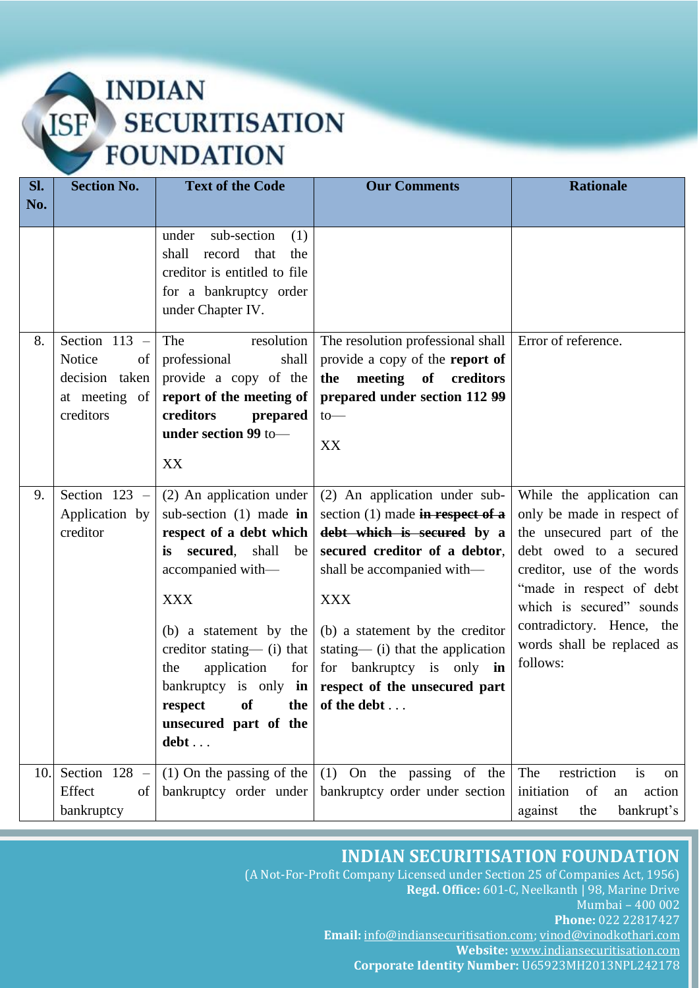### **INDIAN SECURITISATION ISF FOUNDATION**

| SI. | <b>Section No.</b>                                                              | <b>Text of the Code</b>                                                                                                                                                                                                                                                                           | <b>Our Comments</b>                                                                                                                                                                                                                                                                                                                                                     | <b>Rationale</b>                                                                                                                                                                                                                                                            |
|-----|---------------------------------------------------------------------------------|---------------------------------------------------------------------------------------------------------------------------------------------------------------------------------------------------------------------------------------------------------------------------------------------------|-------------------------------------------------------------------------------------------------------------------------------------------------------------------------------------------------------------------------------------------------------------------------------------------------------------------------------------------------------------------------|-----------------------------------------------------------------------------------------------------------------------------------------------------------------------------------------------------------------------------------------------------------------------------|
| No. |                                                                                 |                                                                                                                                                                                                                                                                                                   |                                                                                                                                                                                                                                                                                                                                                                         |                                                                                                                                                                                                                                                                             |
|     |                                                                                 | sub-section<br>under<br>(1)<br>record that<br>shall<br>the<br>creditor is entitled to file<br>for a bankruptcy order<br>under Chapter IV.                                                                                                                                                         |                                                                                                                                                                                                                                                                                                                                                                         |                                                                                                                                                                                                                                                                             |
| 8.  | Section $113 -$<br>Notice<br>of<br>decision taken<br>at meeting of<br>creditors | The<br>resolution<br>professional<br>shall<br>provide a copy of the<br>report of the meeting of<br>creditors<br>prepared<br>under section 99 to-<br>XX                                                                                                                                            | The resolution professional shall<br>provide a copy of the report of<br>the meeting of creditors<br>prepared under section 112 99<br>to<br>XX                                                                                                                                                                                                                           | Error of reference.                                                                                                                                                                                                                                                         |
| 9.  | Section 123 -<br>Application by<br>creditor                                     | (2) An application under<br>sub-section $(1)$ made in<br>respect of a debt which<br>secured, shall<br><i>is</i><br>be<br>accompanied with-<br><b>XXX</b><br>(b) a statement by the<br>creditor stating— $(i)$ that<br>application<br>for<br>the<br>of<br>respect<br>unsecured part of the<br>debt | (2) An application under sub-<br>section $(1)$ made in respect of a<br>debt which is secured by a<br>secured creditor of a debtor,<br>shall be accompanied with—<br><b>XXX</b><br>(b) a statement by the creditor<br>stating— $(i)$ that the application<br>for bankruptcy is only in<br>bankruptcy is only in respect of the unsecured part<br>the $\vert$ of the debt | While the application can<br>only be made in respect of<br>the unsecured part of the<br>debt owed to a secured<br>creditor, use of the words<br>"made in respect of debt<br>which is secured" sounds<br>contradictory. Hence, the<br>words shall be replaced as<br>follows: |
| 10. | Section $128 -$<br>Effect<br>of<br>bankruptcy                                   | $(1)$ On the passing of the<br>bankruptcy order under                                                                                                                                                                                                                                             | $(1)$ On the passing of the<br>bankruptcy order under section                                                                                                                                                                                                                                                                                                           | The<br>restriction<br>is<br>on<br>of<br>initiation<br>action<br>an<br>bankrupt's<br>the<br>against                                                                                                                                                                          |

### **INDIAN SECURITISATION FOUNDATION**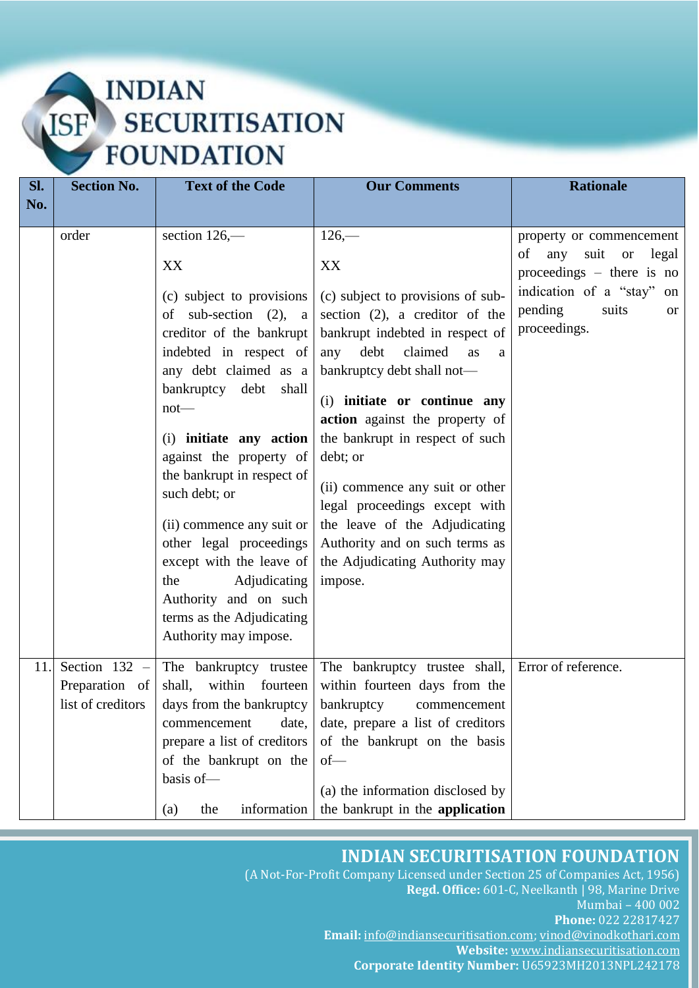| Sl. | <b>Section No.</b>                                     | <b>Text of the Code</b>                                                                                                                                                        | <b>Our Comments</b>                                                                                                                                                     | <b>Rationale</b>                                                           |
|-----|--------------------------------------------------------|--------------------------------------------------------------------------------------------------------------------------------------------------------------------------------|-------------------------------------------------------------------------------------------------------------------------------------------------------------------------|----------------------------------------------------------------------------|
| No. |                                                        |                                                                                                                                                                                |                                                                                                                                                                         |                                                                            |
|     |                                                        |                                                                                                                                                                                |                                                                                                                                                                         |                                                                            |
|     | order                                                  | section 126,-                                                                                                                                                                  | $126 -$                                                                                                                                                                 | property or commencement                                                   |
|     |                                                        | XX                                                                                                                                                                             | XX                                                                                                                                                                      | of<br>suit or<br>legal<br>any<br>proceedings $-$ there is no               |
|     |                                                        | (c) subject to provisions<br>sub-section $(2)$ , a<br>of<br>creditor of the bankrupt                                                                                           | (c) subject to provisions of sub-<br>section $(2)$ , a creditor of the<br>bankrupt indebted in respect of                                                               | indication of a "stay" on<br>pending<br>suits<br><b>or</b><br>proceedings. |
|     |                                                        | indebted in respect of                                                                                                                                                         | claimed<br>debt<br>any<br>as<br>a                                                                                                                                       |                                                                            |
|     |                                                        | any debt claimed as a                                                                                                                                                          | bankruptcy debt shall not-                                                                                                                                              |                                                                            |
|     |                                                        | bankruptcy debt<br>shall<br>$not$ —                                                                                                                                            | (i) initiate or continue any<br>action against the property of                                                                                                          |                                                                            |
|     |                                                        | (i) initiate any action                                                                                                                                                        | the bankrupt in respect of such                                                                                                                                         |                                                                            |
|     |                                                        | against the property of                                                                                                                                                        | debt; or                                                                                                                                                                |                                                                            |
|     |                                                        | the bankrupt in respect of<br>such debt; or<br>(ii) commence any suit or<br>other legal proceedings                                                                            | (ii) commence any suit or other<br>legal proceedings except with<br>the leave of the Adjudicating<br>Authority and on such terms as                                     |                                                                            |
|     |                                                        | except with the leave of                                                                                                                                                       | the Adjudicating Authority may                                                                                                                                          |                                                                            |
|     |                                                        | the<br>Adjudicating<br>Authority and on such                                                                                                                                   | impose.                                                                                                                                                                 |                                                                            |
|     |                                                        | terms as the Adjudicating<br>Authority may impose.                                                                                                                             |                                                                                                                                                                         |                                                                            |
| 11. | Section $132 -$<br>Preparation of<br>list of creditors | The bankruptcy trustee<br>within fourteen<br>shall,<br>days from the bankruptcy<br>commencement<br>date,<br>prepare a list of creditors<br>of the bankrupt on the<br>basis of- | The bankruptcy trustee shall,<br>within fourteen days from the<br>bankruptcy<br>commencement<br>date, prepare a list of creditors<br>of the bankrupt on the basis<br>of | Error of reference.                                                        |
|     |                                                        | information<br>the<br>(a)                                                                                                                                                      | (a) the information disclosed by<br>the bankrupt in the application                                                                                                     |                                                                            |

#### **INDIAN SECURITISATION FOUNDATION**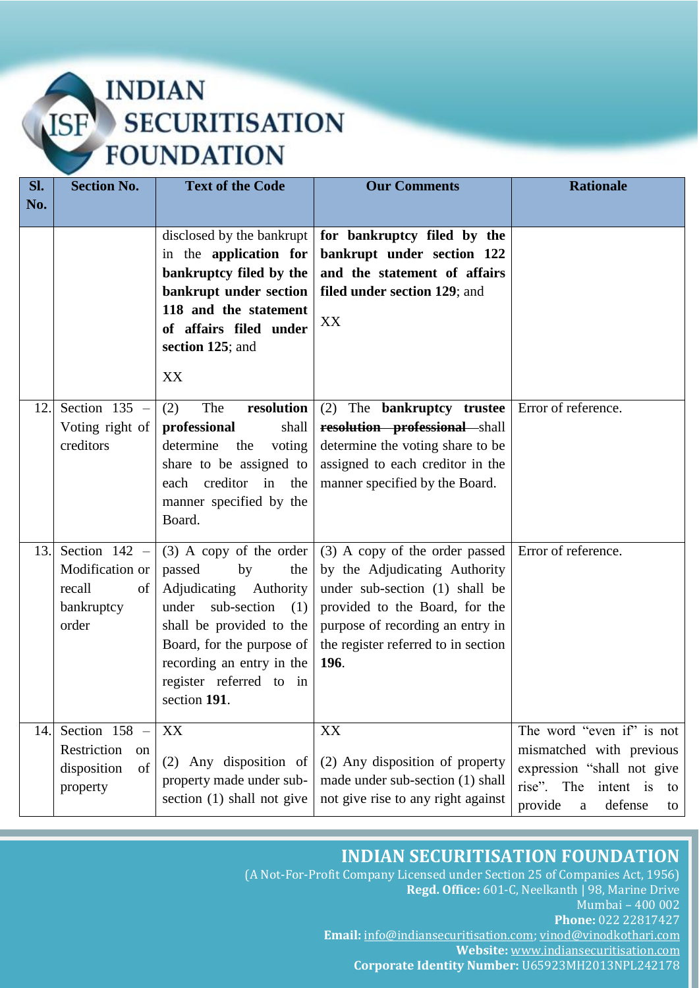| Sl. | <b>Section No.</b>                                                                            | <b>Text of the Code</b>                                                                                                                                                                                                                    | <b>Our Comments</b>                                                                                                                                                                                                           | <b>Rationale</b>                                                                                                                                                |
|-----|-----------------------------------------------------------------------------------------------|--------------------------------------------------------------------------------------------------------------------------------------------------------------------------------------------------------------------------------------------|-------------------------------------------------------------------------------------------------------------------------------------------------------------------------------------------------------------------------------|-----------------------------------------------------------------------------------------------------------------------------------------------------------------|
| No. |                                                                                               |                                                                                                                                                                                                                                            |                                                                                                                                                                                                                               |                                                                                                                                                                 |
|     |                                                                                               | disclosed by the bankrupt<br>in the application for<br>bankruptcy filed by the<br>bankrupt under section<br>118 and the statement<br>of affairs filed under<br>section 125; and<br>XX                                                      | for bankruptcy filed by the<br>bankrupt under section 122<br>and the statement of affairs<br>filed under section 129; and<br>XX                                                                                               |                                                                                                                                                                 |
| 12. | Section $135 -$<br>Voting right of<br>creditors                                               | The<br>resolution<br>(2)<br>professional<br>shall<br>determine<br>the<br>voting<br>share to be assigned to<br>each creditor in<br>the<br>manner specified by the<br>Board.                                                                 | (2) The <b>bankruptcy</b> trustee<br>resolution professional shall<br>determine the voting share to be<br>assigned to each creditor in the<br>manner specified by the Board.                                                  | Error of reference.                                                                                                                                             |
| 13. | Section $142 -$<br>Modification or<br>recall<br>of<br>bankruptcy<br>order                     | $(3)$ A copy of the order<br>passed<br>the<br>by<br>Adjudicating Authority<br>sub-section<br>under<br>(1)<br>shall be provided to the<br>Board, for the purpose of<br>recording an entry in the<br>register referred to in<br>section 191. | (3) A copy of the order passed<br>by the Adjudicating Authority<br>under sub-section (1) shall be<br>provided to the Board, for the<br>purpose of recording an entry in<br>the register referred to in section<br><b>196.</b> | Error of reference.                                                                                                                                             |
| 14. | Section 158<br>$\overline{\phantom{0}}$<br>Restriction<br>on<br>disposition<br>of<br>property | XX<br>(2) Any disposition of<br>property made under sub-<br>section $(1)$ shall not give                                                                                                                                                   | XX<br>(2) Any disposition of property<br>made under sub-section (1) shall<br>not give rise to any right against                                                                                                               | The word "even if" is not<br>mismatched with previous<br>expression "shall not give<br>rise".<br>The<br>intent is<br>to<br>defense<br>provide<br>$\rm{a}$<br>to |

### **INDIAN SECURITISATION FOUNDATION**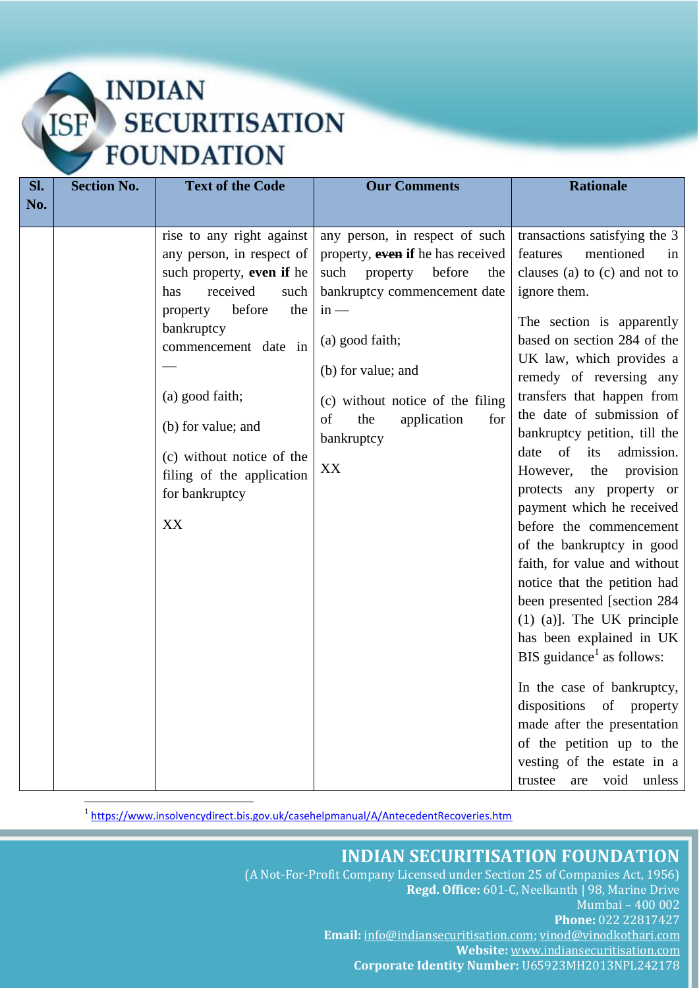| Sl. | <b>Section No.</b> | <b>Text of the Code</b>                                                                                                                                                                                                                                                                                      | <b>Our Comments</b>                                                                                                                                                                                                                                                                    | <b>Rationale</b>                                                                                                                                                                                                                                                                                                                                                                                                                                                                                                                                                                                                                                                                                                                                                                                                                                                                                       |
|-----|--------------------|--------------------------------------------------------------------------------------------------------------------------------------------------------------------------------------------------------------------------------------------------------------------------------------------------------------|----------------------------------------------------------------------------------------------------------------------------------------------------------------------------------------------------------------------------------------------------------------------------------------|--------------------------------------------------------------------------------------------------------------------------------------------------------------------------------------------------------------------------------------------------------------------------------------------------------------------------------------------------------------------------------------------------------------------------------------------------------------------------------------------------------------------------------------------------------------------------------------------------------------------------------------------------------------------------------------------------------------------------------------------------------------------------------------------------------------------------------------------------------------------------------------------------------|
| No. |                    |                                                                                                                                                                                                                                                                                                              |                                                                                                                                                                                                                                                                                        |                                                                                                                                                                                                                                                                                                                                                                                                                                                                                                                                                                                                                                                                                                                                                                                                                                                                                                        |
|     |                    | rise to any right against<br>any person, in respect of<br>such property, even if he<br>received<br>has<br>such<br>before<br>the<br>property<br>bankruptcy<br>commencement date in<br>(a) good faith;<br>(b) for value; and<br>(c) without notice of the<br>filing of the application<br>for bankruptcy<br>XX | any person, in respect of such<br>property, even if he has received<br>such<br>before<br>property<br>the<br>bankruptcy commencement date<br>$in -$<br>(a) good faith;<br>(b) for value; and<br>(c) without notice of the filing<br>of<br>application<br>the<br>for<br>bankruptcy<br>XX | transactions satisfying the 3<br>mentioned<br>features<br>in<br>clauses (a) to (c) and not to<br>ignore them.<br>The section is apparently<br>based on section 284 of the<br>UK law, which provides a<br>remedy of reversing any<br>transfers that happen from<br>the date of submission of<br>bankruptcy petition, till the<br>of<br>its<br>admission.<br>date<br>However,<br>the<br>provision<br>protects any property or<br>payment which he received<br>before the commencement<br>of the bankruptcy in good<br>faith, for value and without<br>notice that the petition had<br>been presented [section 284<br>$(1)$ (a)]. The UK principle<br>has been explained in UK<br>BIS guidance <sup>1</sup> as follows:<br>In the case of bankruptcy,<br>dispositions of property<br>made after the presentation<br>of the petition up to the<br>vesting of the estate in a<br>are void unless<br>trustee |

<sup>1</sup><https://www.insolvencydirect.bis.gov.uk/casehelpmanual/A/AntecedentRecoveries.htm>

1

### **INDIAN SECURITISATION FOUNDATION**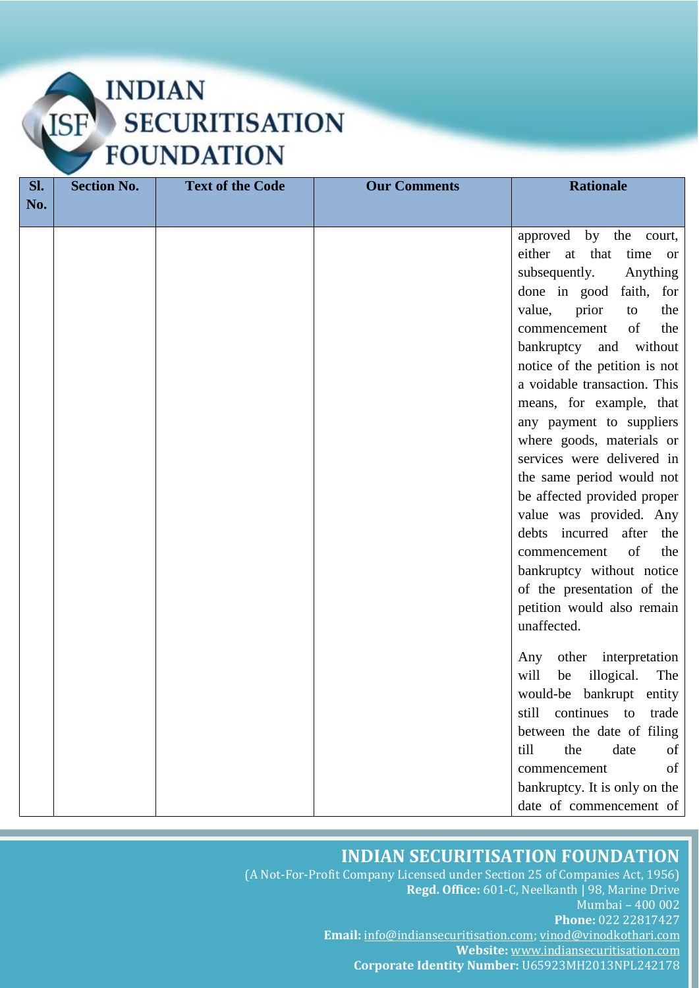| Sl. | <b>Section No.</b> | <b>Text of the Code</b> | <b>Our Comments</b> | <b>Rationale</b>                                                                                                                                                                                                                                                                                                                                                                                                                                                                                                                                                                                                                                                   |
|-----|--------------------|-------------------------|---------------------|--------------------------------------------------------------------------------------------------------------------------------------------------------------------------------------------------------------------------------------------------------------------------------------------------------------------------------------------------------------------------------------------------------------------------------------------------------------------------------------------------------------------------------------------------------------------------------------------------------------------------------------------------------------------|
| No. |                    |                         |                     |                                                                                                                                                                                                                                                                                                                                                                                                                                                                                                                                                                                                                                                                    |
|     |                    |                         |                     | approved by the court,<br>either<br>at that<br>time<br><sub>or</sub><br>subsequently.<br>Anything<br>done in good<br>faith, for<br>value,<br>prior<br>the<br>to<br>of<br>the<br>commencement<br>bankruptcy and without<br>notice of the petition is not<br>a voidable transaction. This<br>means, for example, that<br>any payment to suppliers<br>where goods, materials or<br>services were delivered in<br>the same period would not<br>be affected provided proper<br>value was provided. Any<br>debts incurred after the<br>of<br>the<br>commencement<br>bankruptcy without notice<br>of the presentation of the<br>petition would also remain<br>unaffected. |
|     |                    |                         |                     | other interpretation<br>Any<br>will<br>illogical.<br>The<br>be<br>would-be bankrupt entity<br>continues<br>still<br>trade<br>to<br>between the date of filing<br>till<br>the<br>date<br>of<br>of<br>commencement                                                                                                                                                                                                                                                                                                                                                                                                                                                   |
|     |                    |                         |                     | bankruptcy. It is only on the<br>date of commencement of                                                                                                                                                                                                                                                                                                                                                                                                                                                                                                                                                                                                           |

### **INDIAN SECURITISATION FOUNDATION**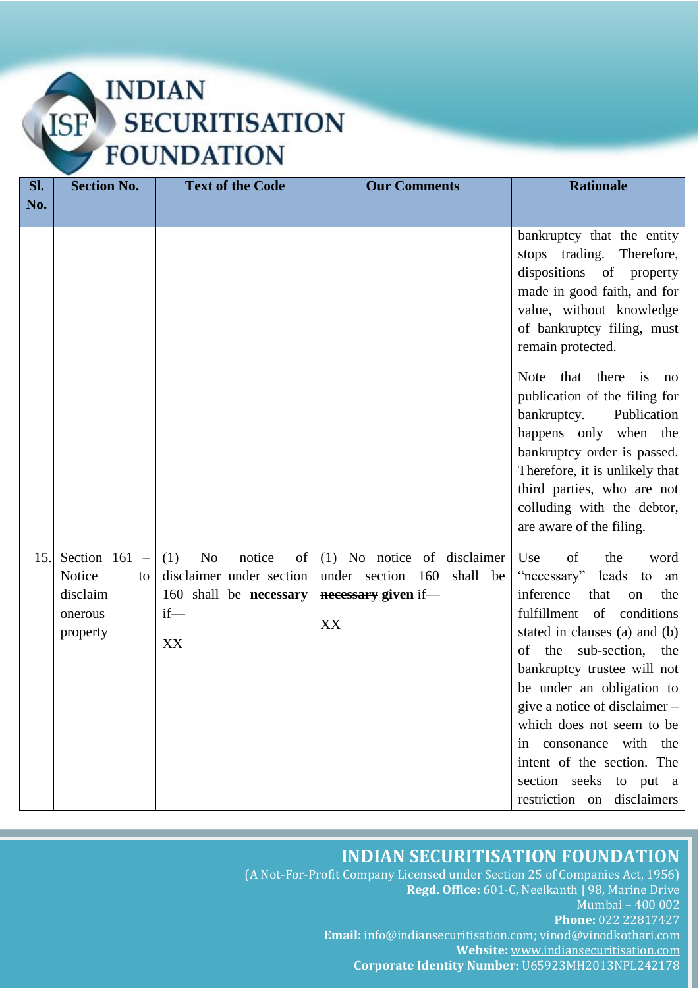### **INDIAN ISF SECURITISATION FOUNDATION**

| SI. | <b>Section No.</b>                                                                                  | <b>Text of the Code</b>                                                                                     | <b>Our Comments</b>                                                                       | <b>Rationale</b>                                                                                                                                                                                                                                                                                                                                                                                                                                                               |
|-----|-----------------------------------------------------------------------------------------------------|-------------------------------------------------------------------------------------------------------------|-------------------------------------------------------------------------------------------|--------------------------------------------------------------------------------------------------------------------------------------------------------------------------------------------------------------------------------------------------------------------------------------------------------------------------------------------------------------------------------------------------------------------------------------------------------------------------------|
| No. |                                                                                                     |                                                                                                             |                                                                                           |                                                                                                                                                                                                                                                                                                                                                                                                                                                                                |
|     |                                                                                                     |                                                                                                             |                                                                                           | bankruptcy that the entity<br>stops trading. Therefore,<br>dispositions of property<br>made in good faith, and for<br>value, without knowledge<br>of bankruptcy filing, must<br>remain protected.<br>Note that there is<br>no<br>publication of the filing for<br>bankruptcy.<br>Publication<br>happens only when the<br>bankruptcy order is passed.<br>Therefore, it is unlikely that<br>third parties, who are not<br>colluding with the debtor,<br>are aware of the filing. |
| 15. | Section 161<br>$\hspace{0.1mm}$ $\hspace{0.1mm}$<br>Notice<br>to<br>disclaim<br>onerous<br>property | N <sub>o</sub><br>notice<br>(1)<br>of<br>disclaimer under section<br>160 shall be necessary<br>$if$ —<br>XX | (1) No notice of disclaimer<br>under section 160<br>shall be<br>necessary given if-<br>XX | of<br>Use<br>the<br>word<br>"necessary" leads to<br>an<br>inference<br>that<br>the<br>on<br>fulfillment of conditions<br>stated in clauses (a) and (b)<br>of the sub-section, the<br>bankruptcy trustee will not<br>be under an obligation to<br>give a notice of disclaimer -<br>which does not seem to be<br>in consonance with the<br>intent of the section. The<br>section seeks to put a<br>restriction on disclaimers                                                    |

#### **INDIAN SECURITISATION FOUNDATION**